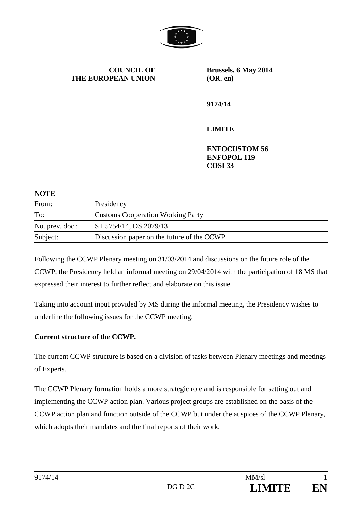

**COUNCIL OF THE EUROPEAN UNION** **Brussels, 6 May 2014 (OR. en)** 

**9174/14** 

### **LIMITE**

**ENFOCUSTOM 56 ENFOPOL 119 COSI 33** 

| <b>NOTE</b>     |                                            |
|-----------------|--------------------------------------------|
| From:           | Presidency                                 |
| To:             | <b>Customs Cooperation Working Party</b>   |
| No. prev. doc.: | ST 5754/14, DS 2079/13                     |
| Subject:        | Discussion paper on the future of the CCWP |

Following the CCWP Plenary meeting on 31/03/2014 and discussions on the future role of the CCWP, the Presidency held an informal meeting on 29/04/2014 with the participation of 18 MS that expressed their interest to further reflect and elaborate on this issue.

Taking into account input provided by MS during the informal meeting, the Presidency wishes to underline the following issues for the CCWP meeting.

### **Current structure of the CCWP.**

The current CCWP structure is based on a division of tasks between Plenary meetings and meetings of Experts.

The CCWP Plenary formation holds a more strategic role and is responsible for setting out and implementing the CCWP action plan. Various project groups are established on the basis of the CCWP action plan and function outside of the CCWP but under the auspices of the CCWP Plenary, which adopts their mandates and the final reports of their work.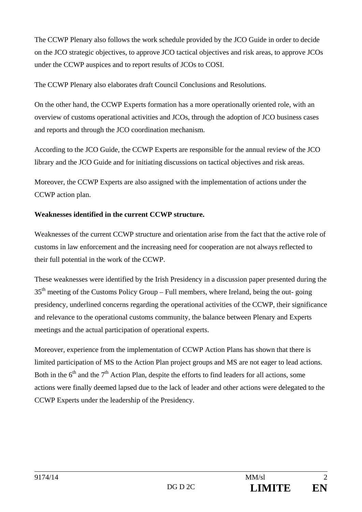The CCWP Plenary also follows the work schedule provided by the JCO Guide in order to decide on the JCO strategic objectives, to approve JCO tactical objectives and risk areas, to approve JCOs under the CCWP auspices and to report results of JCOs to COSI.

The CCWP Plenary also elaborates draft Council Conclusions and Resolutions.

On the other hand, the CCWP Experts formation has a more operationally oriented role, with an overview of customs operational activities and JCOs, through the adoption of JCO business cases and reports and through the JCO coordination mechanism.

According to the JCO Guide, the CCWP Experts are responsible for the annual review of the JCO library and the JCO Guide and for initiating discussions on tactical objectives and risk areas.

Moreover, the CCWP Experts are also assigned with the implementation of actions under the CCWP action plan.

# **Weaknesses identified in the current CCWP structure.**

Weaknesses of the current CCWP structure and orientation arise from the fact that the active role of customs in law enforcement and the increasing need for cooperation are not always reflected to their full potential in the work of the CCWP.

These weaknesses were identified by the Irish Presidency in a discussion paper presented during the  $35<sup>th</sup>$  meeting of the Customs Policy Group – Full members, where Ireland, being the out-going presidency, underlined concerns regarding the operational activities of the CCWP, their significance and relevance to the operational customs community, the balance between Plenary and Experts meetings and the actual participation of operational experts.

Moreover, experience from the implementation of CCWP Action Plans has shown that there is limited participation of MS to the Action Plan project groups and MS are not eager to lead actions. Both in the  $6<sup>th</sup>$  and the  $7<sup>th</sup>$  Action Plan, despite the efforts to find leaders for all actions, some actions were finally deemed lapsed due to the lack of leader and other actions were delegated to the CCWP Experts under the leadership of the Presidency.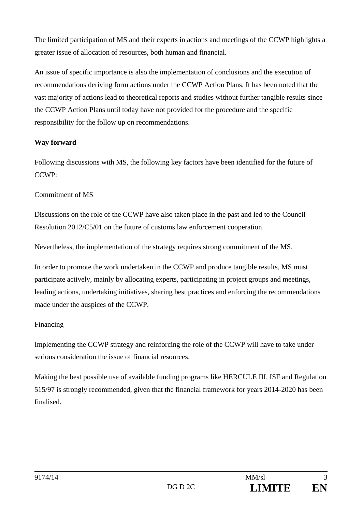The limited participation of MS and their experts in actions and meetings of the CCWP highlights a greater issue of allocation of resources, both human and financial.

An issue of specific importance is also the implementation of conclusions and the execution of recommendations deriving form actions under the CCWP Action Plans. It has been noted that the vast majority of actions lead to theoretical reports and studies without further tangible results since the CCWP Action Plans until today have not provided for the procedure and the specific responsibility for the follow up on recommendations.

### **Way forward**

Following discussions with MS, the following key factors have been identified for the future of CCWP:

### Commitment of MS

Discussions on the role of the CCWP have also taken place in the past and led to the Council Resolution 2012/C5/01 on the future of customs law enforcement cooperation.

Nevertheless, the implementation of the strategy requires strong commitment of the MS.

In order to promote the work undertaken in the CCWP and produce tangible results, MS must participate actively, mainly by allocating experts, participating in project groups and meetings, leading actions, undertaking initiatives, sharing best practices and enforcing the recommendations made under the auspices of the CCWP.

# Financing

Implementing the CCWP strategy and reinforcing the role of the CCWP will have to take under serious consideration the issue of financial resources.

Making the best possible use of available funding programs like HERCULE III, ISF and Regulation 515/97 is strongly recommended, given that the financial framework for years 2014-2020 has been finalised.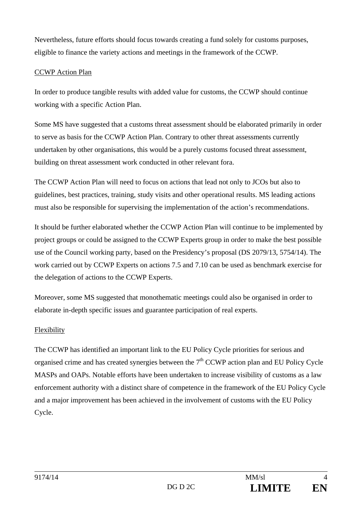Nevertheless, future efforts should focus towards creating a fund solely for customs purposes, eligible to finance the variety actions and meetings in the framework of the CCWP.

#### CCWP Action Plan

In order to produce tangible results with added value for customs, the CCWP should continue working with a specific Action Plan.

Some MS have suggested that a customs threat assessment should be elaborated primarily in order to serve as basis for the CCWP Action Plan. Contrary to other threat assessments currently undertaken by other organisations, this would be a purely customs focused threat assessment, building on threat assessment work conducted in other relevant fora.

The CCWP Action Plan will need to focus on actions that lead not only to JCOs but also to guidelines, best practices, training, study visits and other operational results. MS leading actions must also be responsible for supervising the implementation of the action's recommendations.

It should be further elaborated whether the CCWP Action Plan will continue to be implemented by project groups or could be assigned to the CCWP Experts group in order to make the best possible use of the Council working party, based on the Presidency's proposal (DS 2079/13, 5754/14). The work carried out by CCWP Experts on actions 7.5 and 7.10 can be used as benchmark exercise for the delegation of actions to the CCWP Experts.

Moreover, some MS suggested that monothematic meetings could also be organised in order to elaborate in-depth specific issues and guarantee participation of real experts.

### Flexibility

The CCWP has identified an important link to the EU Policy Cycle priorities for serious and organised crime and has created synergies between the  $7<sup>th</sup>$  CCWP action plan and EU Policy Cycle MASPs and OAPs. Notable efforts have been undertaken to increase visibility of customs as a law enforcement authority with a distinct share of competence in the framework of the EU Policy Cycle and a major improvement has been achieved in the involvement of customs with the EU Policy Cycle.